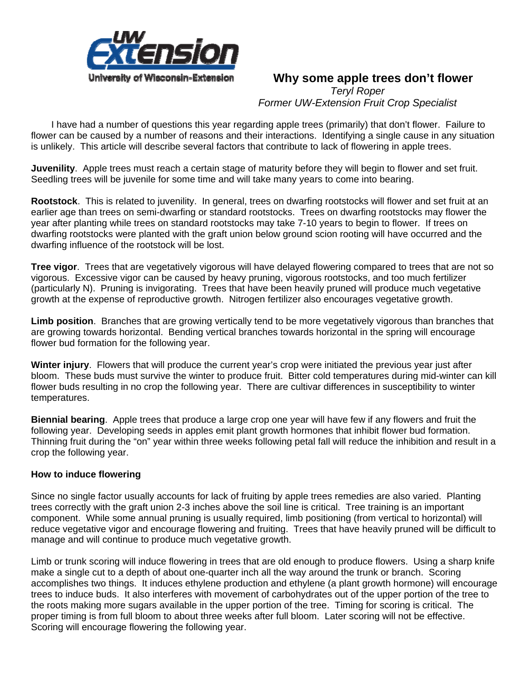

## **Why some apple trees don't flower**

*Teryl Roper Former UW-Extension Fruit Crop Specialist*

 I have had a number of questions this year regarding apple trees (primarily) that don't flower. Failure to flower can be caused by a number of reasons and their interactions. Identifying a single cause in any situation is unlikely. This article will describe several factors that contribute to lack of flowering in apple trees.

**Juvenility**. Apple trees must reach a certain stage of maturity before they will begin to flower and set fruit. Seedling trees will be juvenile for some time and will take many years to come into bearing.

**Rootstock**. This is related to juvenility. In general, trees on dwarfing rootstocks will flower and set fruit at an earlier age than trees on semi-dwarfing or standard rootstocks. Trees on dwarfing rootstocks may flower the year after planting while trees on standard rootstocks may take 7-10 years to begin to flower. If trees on dwarfing rootstocks were planted with the graft union below ground scion rooting will have occurred and the dwarfing influence of the rootstock will be lost.

**Tree vigor**. Trees that are vegetatively vigorous will have delayed flowering compared to trees that are not so vigorous. Excessive vigor can be caused by heavy pruning, vigorous rootstocks, and too much fertilizer (particularly N). Pruning is invigorating. Trees that have been heavily pruned will produce much vegetative growth at the expense of reproductive growth. Nitrogen fertilizer also encourages vegetative growth.

**Limb position**. Branches that are growing vertically tend to be more vegetatively vigorous than branches that are growing towards horizontal. Bending vertical branches towards horizontal in the spring will encourage flower bud formation for the following year.

**Winter injury**. Flowers that will produce the current year's crop were initiated the previous year just after bloom. These buds must survive the winter to produce fruit. Bitter cold temperatures during mid-winter can kill flower buds resulting in no crop the following year. There are cultivar differences in susceptibility to winter temperatures.

**Biennial bearing**. Apple trees that produce a large crop one year will have few if any flowers and fruit the following year. Developing seeds in apples emit plant growth hormones that inhibit flower bud formation. Thinning fruit during the "on" year within three weeks following petal fall will reduce the inhibition and result in a crop the following year.

## **How to induce flowering**

Since no single factor usually accounts for lack of fruiting by apple trees remedies are also varied. Planting trees correctly with the graft union 2-3 inches above the soil line is critical. Tree training is an important component. While some annual pruning is usually required, limb positioning (from vertical to horizontal) will reduce vegetative vigor and encourage flowering and fruiting. Trees that have heavily pruned will be difficult to manage and will continue to produce much vegetative growth.

Limb or trunk scoring will induce flowering in trees that are old enough to produce flowers. Using a sharp knife make a single cut to a depth of about one-quarter inch all the way around the trunk or branch. Scoring accomplishes two things. It induces ethylene production and ethylene (a plant growth hormone) will encourage trees to induce buds. It also interferes with movement of carbohydrates out of the upper portion of the tree to the roots making more sugars available in the upper portion of the tree. Timing for scoring is critical. The proper timing is from full bloom to about three weeks after full bloom. Later scoring will not be effective. Scoring will encourage flowering the following year.